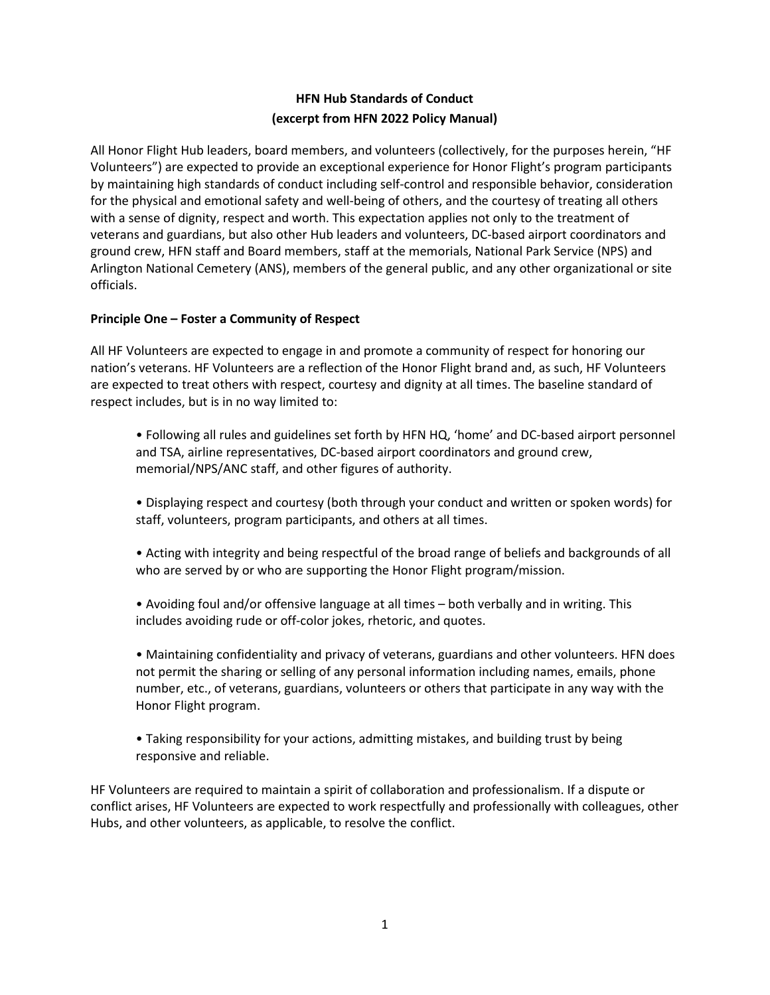# **HFN Hub Standards of Conduct (excerpt from HFN 2022 Policy Manual)**

All Honor Flight Hub leaders, board members, and volunteers (collectively, for the purposes herein, "HF Volunteers") are expected to provide an exceptional experience for Honor Flight's program participants by maintaining high standards of conduct including self-control and responsible behavior, consideration for the physical and emotional safety and well-being of others, and the courtesy of treating all others with a sense of dignity, respect and worth. This expectation applies not only to the treatment of veterans and guardians, but also other Hub leaders and volunteers, DC-based airport coordinators and ground crew, HFN staff and Board members, staff at the memorials, National Park Service (NPS) and Arlington National Cemetery (ANS), members of the general public, and any other organizational or site officials.

# **Principle One – Foster a Community of Respect**

All HF Volunteers are expected to engage in and promote a community of respect for honoring our nation's veterans. HF Volunteers are a reflection of the Honor Flight brand and, as such, HF Volunteers are expected to treat others with respect, courtesy and dignity at all times. The baseline standard of respect includes, but is in no way limited to:

• Following all rules and guidelines set forth by HFN HQ, 'home' and DC-based airport personnel and TSA, airline representatives, DC-based airport coordinators and ground crew, memorial/NPS/ANC staff, and other figures of authority.

• Displaying respect and courtesy (both through your conduct and written or spoken words) for staff, volunteers, program participants, and others at all times.

• Acting with integrity and being respectful of the broad range of beliefs and backgrounds of all who are served by or who are supporting the Honor Flight program/mission.

• Avoiding foul and/or offensive language at all times – both verbally and in writing. This includes avoiding rude or off-color jokes, rhetoric, and quotes.

• Maintaining confidentiality and privacy of veterans, guardians and other volunteers. HFN does not permit the sharing or selling of any personal information including names, emails, phone number, etc., of veterans, guardians, volunteers or others that participate in any way with the Honor Flight program.

• Taking responsibility for your actions, admitting mistakes, and building trust by being responsive and reliable.

HF Volunteers are required to maintain a spirit of collaboration and professionalism. If a dispute or conflict arises, HF Volunteers are expected to work respectfully and professionally with colleagues, other Hubs, and other volunteers, as applicable, to resolve the conflict.